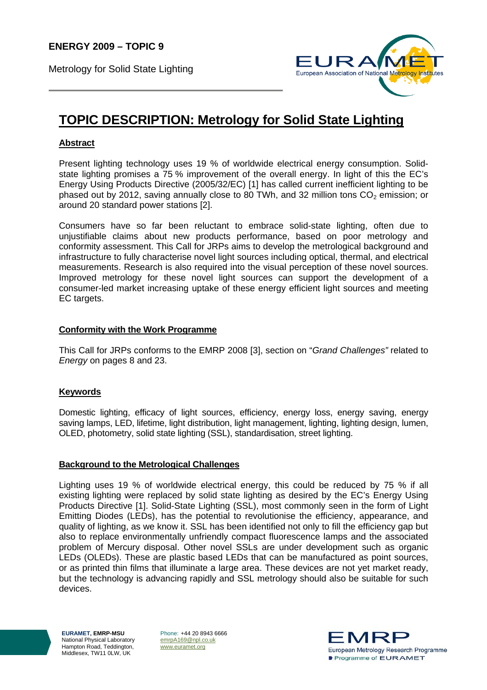Metrology for Solid State Lighting



# **TOPIC DESCRIPTION: Metrology for Solid State Lighting**

# **Abstract**

Present lighting technology uses 19 % of worldwide electrical energy consumption. Solidstate lighting promises a 75 % improvement of the overall energy. In light of this the EC's Energy Using Products Directive (2005/32/EC) [1] has called current inefficient lighting to be phased out by 2012, saving annually close to 80 TWh, and 32 million tons  $CO<sub>2</sub>$  emission; or around 20 standard power stations [2].

Consumers have so far been reluctant to embrace solid-state lighting, often due to unjustifiable claims about new products performance, based on poor metrology and conformity assessment. This Call for JRPs aims to develop the metrological background and infrastructure to fully characterise novel light sources including optical, thermal, and electrical measurements. Research is also required into the visual perception of these novel sources. Improved metrology for these novel light sources can support the development of a consumer-led market increasing uptake of these energy efficient light sources and meeting EC targets.

## **Conformity with the Work Programme**

This Call for JRPs conforms to the EMRP 2008 [3], section on "*Grand Challenges"* related to *Energy* on pages 8 and 23.

# **Keywords**

Domestic lighting, efficacy of light sources, efficiency, energy loss, energy saving, energy saving lamps, LED, lifetime, light distribution, light management, lighting, lighting design, lumen, OLED, photometry, solid state lighting (SSL), standardisation, street lighting.

## **Background to the Metrological Challenges**

Lighting uses 19 % of worldwide electrical energy, this could be reduced by 75 % if all existing lighting were replaced by solid state lighting as desired by the EC's Energy Using Products Directive [1]. Solid-State Lighting (SSL), most commonly seen in the form of Light Emitting Diodes (LEDs), has the potential to revolutionise the efficiency, appearance, and quality of lighting, as we know it. SSL has been identified not only to fill the efficiency gap but also to replace environmentally unfriendly compact fluorescence lamps and the associated problem of Mercury disposal. Other novel SSLs are under development such as organic LEDs (OLEDs). These are plastic based LEDs that can be manufactured as point sources, or as printed thin films that illuminate a large area. These devices are not yet market ready, but the technology is advancing rapidly and SSL metrology should also be suitable for such devices.

**EURAMET, EMRP-MSU**  National Physical Laboratory Hampton Road, Teddington, Middlesex, TW11 0LW, UK

Phone: +44 20 8943 6666 emrpA169@npl.co.uk www.euramet.org

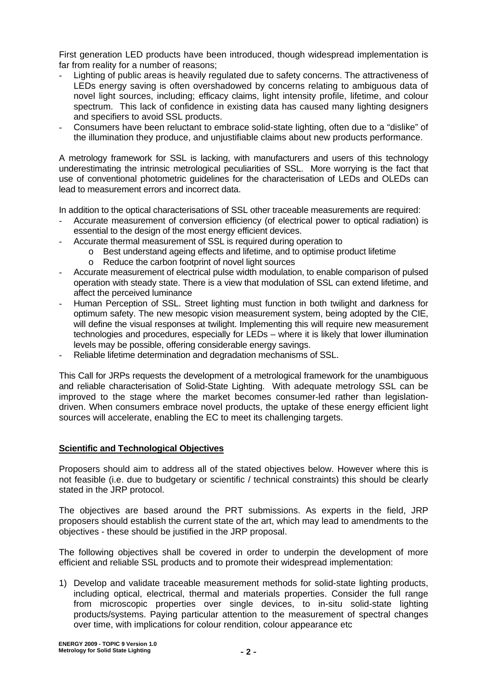First generation LED products have been introduced, though widespread implementation is far from reality for a number of reasons;

- Lighting of public areas is heavily regulated due to safety concerns. The attractiveness of LEDs energy saving is often overshadowed by concerns relating to ambiguous data of novel light sources, including; efficacy claims, light intensity profile, lifetime, and colour spectrum. This lack of confidence in existing data has caused many lighting designers and specifiers to avoid SSL products.
- Consumers have been reluctant to embrace solid-state lighting, often due to a "dislike" of the illumination they produce, and unjustifiable claims about new products performance.

A metrology framework for SSL is lacking, with manufacturers and users of this technology underestimating the intrinsic metrological peculiarities of SSL. More worrying is the fact that use of conventional photometric guidelines for the characterisation of LEDs and OLEDs can lead to measurement errors and incorrect data.

In addition to the optical characterisations of SSL other traceable measurements are required:

- Accurate measurement of conversion efficiency (of electrical power to optical radiation) is essential to the design of the most energy efficient devices.
	- Accurate thermal measurement of SSL is required during operation to
		- o Best understand ageing effects and lifetime, and to optimise product lifetime
		- o Reduce the carbon footprint of novel light sources
- Accurate measurement of electrical pulse width modulation, to enable comparison of pulsed operation with steady state. There is a view that modulation of SSL can extend lifetime, and affect the perceived luminance
- Human Perception of SSL. Street lighting must function in both twilight and darkness for optimum safety. The new mesopic vision measurement system, being adopted by the CIE, will define the visual responses at twilight. Implementing this will require new measurement technologies and procedures, especially for LEDs – where it is likely that lower illumination levels may be possible, offering considerable energy savings.
- Reliable lifetime determination and degradation mechanisms of SSL.

This Call for JRPs requests the development of a metrological framework for the unambiguous and reliable characterisation of Solid-State Lighting. With adequate metrology SSL can be improved to the stage where the market becomes consumer-led rather than legislationdriven. When consumers embrace novel products, the uptake of these energy efficient light sources will accelerate, enabling the EC to meet its challenging targets.

## **Scientific and Technological Objectives**

Proposers should aim to address all of the stated objectives below. However where this is not feasible (i.e. due to budgetary or scientific / technical constraints) this should be clearly stated in the JRP protocol.

The objectives are based around the PRT submissions. As experts in the field, JRP proposers should establish the current state of the art, which may lead to amendments to the objectives - these should be justified in the JRP proposal.

The following objectives shall be covered in order to underpin the development of more efficient and reliable SSL products and to promote their widespread implementation:

1) Develop and validate traceable measurement methods for solid-state lighting products, including optical, electrical, thermal and materials properties. Consider the full range from microscopic properties over single devices, to in-situ solid-state lighting products/systems. Paying particular attention to the measurement of spectral changes over time, with implications for colour rendition, colour appearance etc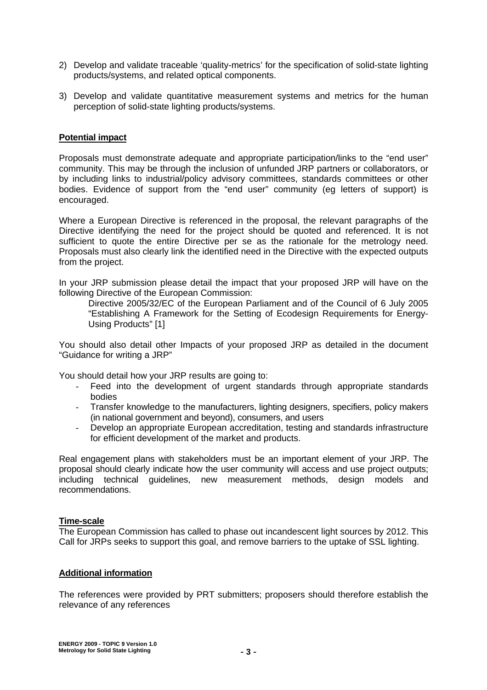- 2) Develop and validate traceable 'quality-metrics' for the specification of solid-state lighting products/systems, and related optical components.
- 3) Develop and validate quantitative measurement systems and metrics for the human perception of solid-state lighting products/systems.

#### **Potential impact**

Proposals must demonstrate adequate and appropriate participation/links to the "end user" community. This may be through the inclusion of unfunded JRP partners or collaborators, or by including links to industrial/policy advisory committees, standards committees or other bodies. Evidence of support from the "end user" community (eg letters of support) is encouraged.

Where a European Directive is referenced in the proposal, the relevant paragraphs of the Directive identifying the need for the project should be quoted and referenced. It is not sufficient to quote the entire Directive per se as the rationale for the metrology need. Proposals must also clearly link the identified need in the Directive with the expected outputs from the project.

In your JRP submission please detail the impact that your proposed JRP will have on the following Directive of the European Commission:

Directive 2005/32/EC of the European Parliament and of the Council of 6 July 2005 "Establishing A Framework for the Setting of Ecodesign Requirements for Energy-Using Products" [1]

You should also detail other Impacts of your proposed JRP as detailed in the document "Guidance for writing a JRP"

You should detail how your JRP results are going to:

- Feed into the development of urgent standards through appropriate standards bodies
- Transfer knowledge to the manufacturers, lighting designers, specifiers, policy makers (in national government and beyond), consumers, and users
- Develop an appropriate European accreditation, testing and standards infrastructure for efficient development of the market and products.

Real engagement plans with stakeholders must be an important element of your JRP. The proposal should clearly indicate how the user community will access and use project outputs; including technical guidelines, new measurement methods, design models and recommendations.

#### **Time-scale**

The European Commission has called to phase out incandescent light sources by 2012. This Call for JRPs seeks to support this goal, and remove barriers to the uptake of SSL lighting.

#### **Additional information**

The references were provided by PRT submitters; proposers should therefore establish the relevance of any references